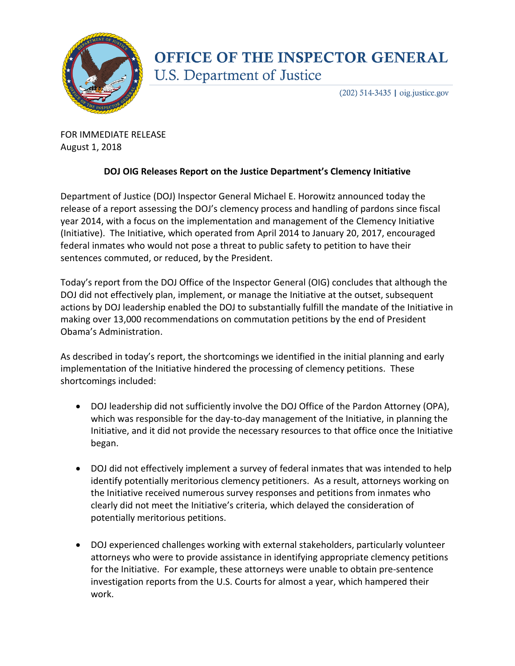

## **OFFICE OF THE INSPECTOR GENERAL U.S. Department of Justice**

 $(202)$  514-3435 | oig.justice.gov

FOR IMMEDIATE RELEASE August 1, 2018

## **DOJ OIG Releases Report on the Justice Department's Clemency Initiative**

Department of Justice (DOJ) Inspector General Michael E. Horowitz announced today the release of a report assessing the DOJ's clemency process and handling of pardons since fiscal year 2014, with a focus on the implementation and management of the Clemency Initiative (Initiative). The Initiative, which operated from April 2014 to January 20, 2017, encouraged federal inmates who would not pose a threat to public safety to petition to have their sentences commuted, or reduced, by the President.

Today's report from the DOJ Office of the Inspector General (OIG) concludes that although the DOJ did not effectively plan, implement, or manage the Initiative at the outset, subsequent actions by DOJ leadership enabled the DOJ to substantially fulfill the mandate of the Initiative in making over 13,000 recommendations on commutation petitions by the end of President Obama's Administration.

As described in today's report, the shortcomings we identified in the initial planning and early implementation of the Initiative hindered the processing of clemency petitions. These shortcomings included:

- DOJ leadership did not sufficiently involve the DOJ Office of the Pardon Attorney (OPA), which was responsible for the day-to-day management of the Initiative, in planning the Initiative, and it did not provide the necessary resources to that office once the Initiative began.
- DOJ did not effectively implement a survey of federal inmates that was intended to help identify potentially meritorious clemency petitioners. As a result, attorneys working on the Initiative received numerous survey responses and petitions from inmates who clearly did not meet the Initiative's criteria, which delayed the consideration of potentially meritorious petitions.
- DOJ experienced challenges working with external stakeholders, particularly volunteer attorneys who were to provide assistance in identifying appropriate clemency petitions for the Initiative. For example, these attorneys were unable to obtain pre-sentence investigation reports from the U.S. Courts for almost a year, which hampered their work.